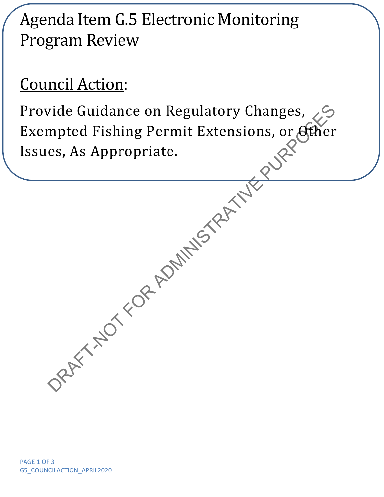## Agenda Item G.5 Electronic Monitoring Program Review

## Council Action:

Provide Guidance on Regulatory Changes, 25<br>Exempted Fishing Permit Extensions, or Acher<br>Issues, As Appropriate.<br>Appropriate. Exempted Fishing Permit Extensions, or Other Issues, As Appropriate.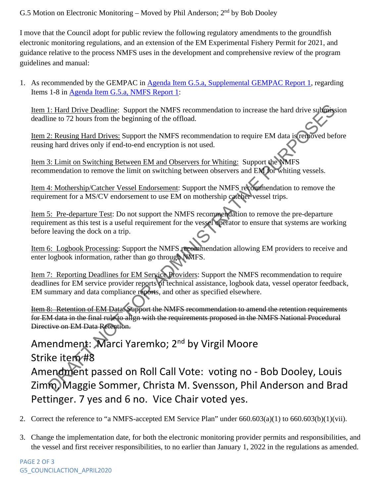G.5 Motion on Electronic Monitoring – Moved by Phil Anderson;  $2<sup>nd</sup>$  by Bob Dooley

I move that the Council adopt for public review the following regulatory amendments to the groundfish electronic monitoring regulations, and an extension of the EM Experimental Fishery Permit for 2021, and guidance relative to the process NMFS uses in the development and comprehensive review of the program guidelines and manual:

1. As recommended by the GEMPAC in [Agenda Item G.5.a, Supplemental GEMPAC Report 1,](https://www.pcouncil.org/documents/2020/04/g-5-a-supplemental-gempac-report-1.pdf) regarding Items 1-8 in [Agenda Item G.5.a, NMFS Report 1:](https://www.pcouncil.org/documents/2020/03/g-5-a-nmfs-report-1-electronic-monitoring-regulatory-changes.pdf/)

Item 1: Hard Drive Deadline: Support the NMFS recommendation to increase the hard drive submission deadline to 72 hours from the beginning of the offload.

Item 2: Reusing Hard Drives: Support the NMFS recommendation to require EM data is removed before reusing hard drives only if end-to-end encryption is not used.

Item 3: Limit on Switching Between EM and Observers for Whiting: Support the NMFS recommendation to remove the limit on switching between observers and EM for whiting vessels.

Item 4: Mothership/Catcher Vessel Endorsement: Support the NMFS recommendation to remove the requirement for a MS/CV endorsement to use EM on mothership catcher vessel trips.

Item 5: Pre-departure Test: Do not support the NMFS recommendation to remove the pre-departure requirement as this test is a useful requirement for the vessel operator to ensure that systems are working before leaving the dock on a trip.

Item 6: Logbook Processing: Support the NMFS recommendation allowing EM providers to receive and enter logbook information, rather than go through NMFS.

Item 7: Reporting Deadlines for EM Service Providers: Support the NMFS recommendation to require deadlines for EM service provider reports of technical assistance, logbook data, vessel operator feedback, EM summary and data compliance reports, and other as specified elsewhere.

Item 8: Retention of EM Data: Support the NMFS recommendation to amend the retention requirements for EM data in the final rule to align with the requirements proposed in the NMFS National Procedural Directive on EM Data Retention.

1: Hard Drive Deadline: Support the NMFS recommendation to increase the hard drive subfastine to 72 hours from the beginning of the offload.<br>
2: <u>Russine Hard Drives'</u> Support the NMFS recommendation to require EM data is Amendment: Marci Yaremko; 2<sup>nd</sup> by Virgil Moore Strike item #8 Amendment passed on Roll Call Vote: voting no - Bob Dooley, Louis Zimm, Maggie Sommer, Christa M. Svensson, Phil Anderson and Brad Pettinger. 7 yes and 6 no. Vice Chair voted yes.

- 2. Correct the reference to "a NMFS-accepted EM Service Plan" under 660.603(a)(1) to 660.603(b)(1)(vii).
- 3. Change the implementation date, for both the electronic monitoring provider permits and responsibilities, and the vessel and first receiver responsibilities, to no earlier than January 1, 2022 in the regulations as amended.